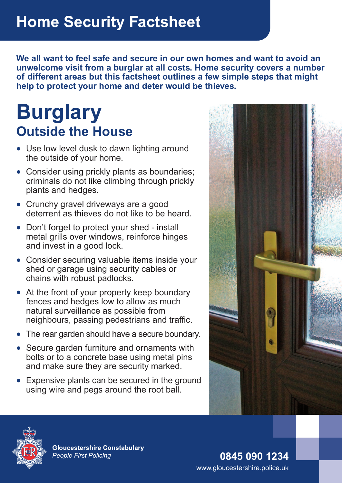**We all want to feel safe and secure in our own homes and want to avoid an unwelcome visit from a burglar at all costs. Home security covers a number of different areas but this factsheet outlines a few simple steps that might help to protect your home and deter would be thieves.**

## **Burglary Outside the House**

- Use low level dusk to dawn lighting around the outside of your home.
- Consider using prickly plants as boundaries; criminals do not like climbing through prickly plants and hedges.
- Crunchy gravel driveways are a good deterrent as thieves do not like to be heard.
- Don't forget to protect your shed install metal grills over windows, reinforce hinges and invest in a good lock.
- Consider securing valuable items inside your shed or garage using security cables or chains with robust padlocks.
- At the front of your property keep boundary fences and hedges low to allow as much natural surveillance as possible from neighbours, passing pedestrians and traffic.
- The rear garden should have a secure boundary.
- Secure garden furniture and ornaments with bolts or to a concrete base using metal pins and make sure they are security marked.
- Expensive plants can be secured in the ground using wire and pegs around the root ball.





**Gloucestershire Constabulary People First Policing** 

**0845 090 1234** www.gloucestershire.police.uk